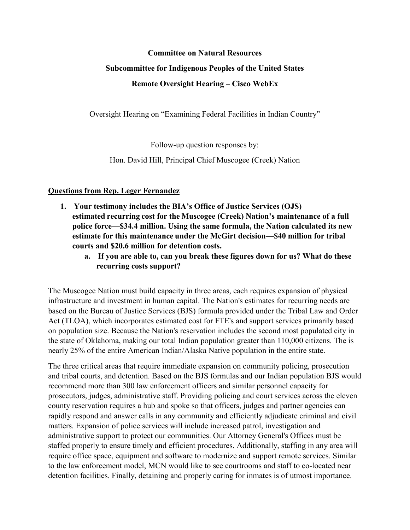#### **Committee on Natural Resources**

#### **Subcommittee for Indigenous Peoples of the United States**

## **Remote Oversight Hearing – Cisco WebEx**

Oversight Hearing on "Examining Federal Facilities in Indian Country"

Follow-up question responses by:

Hon. David Hill, Principal Chief Muscogee (Creek) Nation

### **Questions from Rep. Leger Fernandez**

- **1. Your testimony includes the BIA's Office of Justice Services (OJS) estimated recurring cost for the Muscogee (Creek) Nation's maintenance of a full police force—\$34.4 million. Using the same formula, the Nation calculated its new estimate for this maintenance under the McGirt decision—\$40 million for tribal courts and \$20.6 million for detention costs.**
	- **a. If you are able to, can you break these figures down for us? What do these recurring costs support?**

The Muscogee Nation must build capacity in three areas, each requires expansion of physical infrastructure and investment in human capital. The Nation's estimates for recurring needs are based on the Bureau of Justice Services (BJS) formula provided under the Tribal Law and Order Act (TLOA), which incorporates estimated cost for FTE's and support services primarily based on population size. Because the Nation's reservation includes the second most populated city in the state of Oklahoma, making our total Indian population greater than 110,000 citizens. The is nearly 25% of the entire American Indian/Alaska Native population in the entire state.

The three critical areas that require immediate expansion on community policing, prosecution and tribal courts, and detention. Based on the BJS formulas and our Indian population BJS would recommend more than 300 law enforcement officers and similar personnel capacity for prosecutors, judges, administrative staff. Providing policing and court services across the eleven county reservation requires a hub and spoke so that officers, judges and partner agencies can rapidly respond and answer calls in any community and efficiently adjudicate criminal and civil matters. Expansion of police services will include increased patrol, investigation and administrative support to protect our communities. Our Attorney General's Offices must be staffed properly to ensure timely and efficient procedures. Additionally, staffing in any area will require office space, equipment and software to modernize and support remote services. Similar to the law enforcement model, MCN would like to see courtrooms and staff to co-located near detention facilities. Finally, detaining and properly caring for inmates is of utmost importance.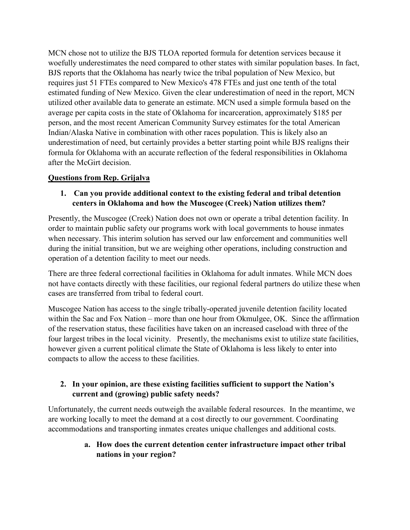MCN chose not to utilize the BJS TLOA reported formula for detention services because it woefully underestimates the need compared to other states with similar population bases. In fact, BJS reports that the Oklahoma has nearly twice the tribal population of New Mexico, but requires just 51 FTEs compared to New Mexico's 478 FTEs and just one tenth of the total estimated funding of New Mexico. Given the clear underestimation of need in the report, MCN utilized other available data to generate an estimate. MCN used a simple formula based on the average per capita costs in the state of Oklahoma for incarceration, approximately \$185 per person, and the most recent American Community Survey estimates for the total American Indian/Alaska Native in combination with other races population. This is likely also an underestimation of need, but certainly provides a better starting point while BJS realigns their formula for Oklahoma with an accurate reflection of the federal responsibilities in Oklahoma after the McGirt decision.

#### **Questions from Rep. Grijalva**

### **1. Can you provide additional context to the existing federal and tribal detention centers in Oklahoma and how the Muscogee (Creek) Nation utilizes them?**

Presently, the Muscogee (Creek) Nation does not own or operate a tribal detention facility. In order to maintain public safety our programs work with local governments to house inmates when necessary. This interim solution has served our law enforcement and communities well during the initial transition, but we are weighing other operations, including construction and operation of a detention facility to meet our needs.

There are three federal correctional facilities in Oklahoma for adult inmates. While MCN does not have contacts directly with these facilities, our regional federal partners do utilize these when cases are transferred from tribal to federal court.

Muscogee Nation has access to the single tribally-operated juvenile detention facility located within the Sac and Fox Nation – more than one hour from Okmulgee, OK. Since the affirmation of the reservation status, these facilities have taken on an increased caseload with three of the four largest tribes in the local vicinity. Presently, the mechanisms exist to utilize state facilities, however given a current political climate the State of Oklahoma is less likely to enter into compacts to allow the access to these facilities.

### **2. In your opinion, are these existing facilities sufficient to support the Nation's current and (growing) public safety needs?**

Unfortunately, the current needs outweigh the available federal resources. In the meantime, we are working locally to meet the demand at a cost directly to our government. Coordinating accommodations and transporting inmates creates unique challenges and additional costs.

> **a. How does the current detention center infrastructure impact other tribal nations in your region?**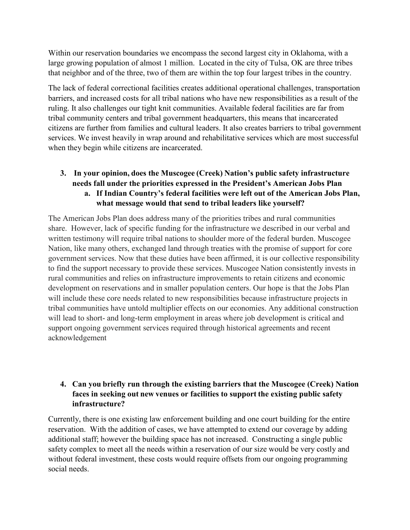Within our reservation boundaries we encompass the second largest city in Oklahoma, with a large growing population of almost 1 million. Located in the city of Tulsa, OK are three tribes that neighbor and of the three, two of them are within the top four largest tribes in the country.

The lack of federal correctional facilities creates additional operational challenges, transportation barriers, and increased costs for all tribal nations who have new responsibilities as a result of the ruling. It also challenges our tight knit communities. Available federal facilities are far from tribal community centers and tribal government headquarters, this means that incarcerated citizens are further from families and cultural leaders. It also creates barriers to tribal government services. We invest heavily in wrap around and rehabilitative services which are most successful when they begin while citizens are incarcerated.

### **3. In your opinion, does the Muscogee (Creek) Nation's public safety infrastructure needs fall under the priorities expressed in the President's American Jobs Plan a. If Indian Country's federal facilities were left out of the American Jobs Plan, what message would that send to tribal leaders like yourself?**

The American Jobs Plan does address many of the priorities tribes and rural communities share. However, lack of specific funding for the infrastructure we described in our verbal and written testimony will require tribal nations to shoulder more of the federal burden. Muscogee Nation, like many others, exchanged land through treaties with the promise of support for core government services. Now that these duties have been affirmed, it is our collective responsibility to find the support necessary to provide these services. Muscogee Nation consistently invests in rural communities and relies on infrastructure improvements to retain citizens and economic development on reservations and in smaller population centers. Our hope is that the Jobs Plan will include these core needs related to new responsibilities because infrastructure projects in tribal communities have untold multiplier effects on our economies. Any additional construction will lead to short- and long-term employment in areas where job development is critical and support ongoing government services required through historical agreements and recent acknowledgement

### **4. Can you briefly run through the existing barriers that the Muscogee (Creek) Nation faces in seeking out new venues or facilities to support the existing public safety infrastructure?**

Currently, there is one existing law enforcement building and one court building for the entire reservation. With the addition of cases, we have attempted to extend our coverage by adding additional staff; however the building space has not increased. Constructing a single public safety complex to meet all the needs within a reservation of our size would be very costly and without federal investment, these costs would require offsets from our ongoing programming social needs.